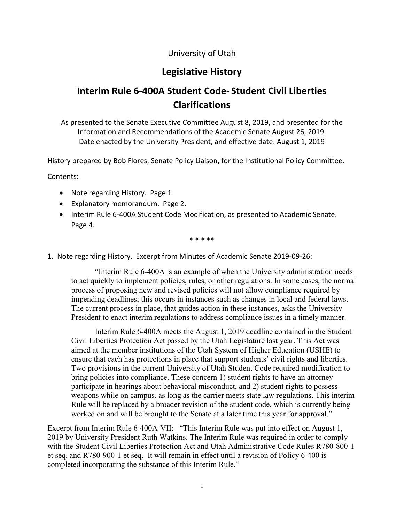### University of Utah

# **Legislative History**

# **Interim Rule 6-400A Student Code- Student Civil Liberties Clarifications**

As presented to the Senate Executive Committee August 8, 2019, and presented for the Information and Recommendations of the Academic Senate August 26, 2019. Date enacted by the University President, and effective date: August 1, 2019

History prepared by Bob Flores, Senate Policy Liaison, for the Institutional Policy Committee.

Contents:

- Note regarding History. Page 1
- Explanatory memorandum. Page 2.
- Interim Rule 6-400A Student Code Modification, as presented to Academic Senate. Page 4.

\* \* \* \*\*

1. Note regarding History. Excerpt from Minutes of Academic Senate 2019-09-26:

"Interim Rule 6-400A is an example of when the University administration needs to act quickly to implement policies, rules, or other regulations. In some cases, the normal process of proposing new and revised policies will not allow compliance required by impending deadlines; this occurs in instances such as changes in local and federal laws. The current process in place, that guides action in these instances, asks the University President to enact interim regulations to address compliance issues in a timely manner.

Interim Rule 6-400A meets the August 1, 2019 deadline contained in the Student Civil Liberties Protection Act passed by the Utah Legislature last year. This Act was aimed at the member institutions of the Utah System of Higher Education (USHE) to ensure that each has protections in place that support students' civil rights and liberties. Two provisions in the current University of Utah Student Code required modification to bring policies into compliance. These concern 1) student rights to have an attorney participate in hearings about behavioral misconduct, and 2) student rights to possess weapons while on campus, as long as the carrier meets state law regulations. This interim Rule will be replaced by a broader revision of the student code, which is currently being worked on and will be brought to the Senate at a later time this year for approval."

Excerpt from Interim Rule 6-400A-VII: "This Interim Rule was put into effect on August 1, 2019 by University President Ruth Watkins. The Interim Rule was required in order to comply with the Student Civil Liberties Protection Act and Utah Administrative Code Rules R780-800-1 et seq. and R780-900-1 et seq. It will remain in effect until a revision of Policy 6-400 is completed incorporating the substance of this Interim Rule."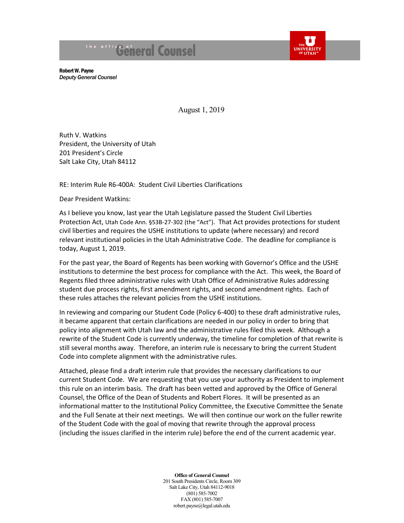# the office of eral Counsel



Robert W. Payne *Deputy General Counsel*

August 1, 2019

Ruth V. Watkins President, the University of Utah 201 President's Circle Salt Lake City, Utah 84112

RE: Interim Rule R6-400A: Student Civil Liberties Clarifications

Dear President Watkins:

As I believe you know, last year the Utah Legislature passed the Student Civil Liberties Protection Act, [Utah Code Ann. §53B-27-302](https://le.utah.gov/xcode/Title53B/Chapter27/53B-27-P3.html?v=C53B-27-P3_2018050820180508) (the "Act"). That Act provides protections for student civil liberties and requires the USHE institutions to update (where necessary) and record relevant institutional policies in the Utah Administrative Code. The deadline for compliance is today, August 1, 2019.

For the past year, the Board of Regents has been working with Governor's Office and the USHE institutions to determine the best process for compliance with the Act. This week, the Board of Regents filed three administrative rules with Utah Office of Administrative Rules addressing student due process rights, first amendment rights, and second amendment rights. Each of these rules attaches the relevant policies from the USHE institutions.

In reviewing and comparing our Student Code (Policy 6-400) to these draft administrative rules, it became apparent that certain clarifications are needed in our policy in order to bring that policy into alignment with Utah law and the administrative rules filed this week. Although a rewrite of the Student Code is currently underway, the timeline for completion of that rewrite is still several months away. Therefore, an interim rule is necessary to bring the current Student Code into complete alignment with the administrative rules.

Attached, please find a draft interim rule that provides the necessary clarifications to our current Student Code. We are requesting that you use your authority as President to implement this rule on an interim basis. The draft has been vetted and approved by the Office of General Counsel, the Office of the Dean of Students and Robert Flores. It will be presented as an informational matter to the Institutional Policy Committee, the Executive Committee the Senate and the Full Senate at their next meetings. We will then continue our work on the fuller rewrite of the Student Code with the goal of moving that rewrite through the approval process (including the issues clarified in the interim rule) before the end of the current academic year.

**Office of General Counsel**

201 South Presidents Circle, Room 309 Salt Lake City, Utah 84112-9018 (801) 585-7002 FAX (801) 585-7007 robert.payne@legal.utah.edu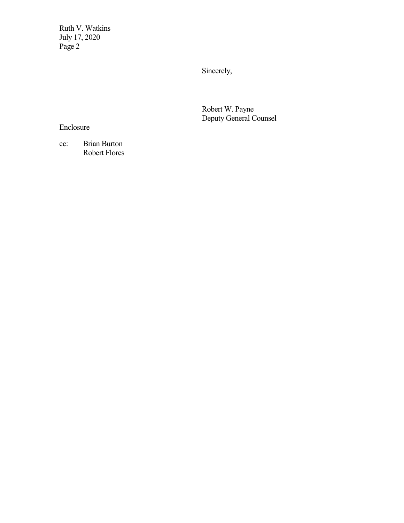Ruth V. Watkins July 17, 2020 Page 2

Sincerely,

Robert W. Payne Deputy General Counsel

Enclosure

cc: Brian Burton Robert Flores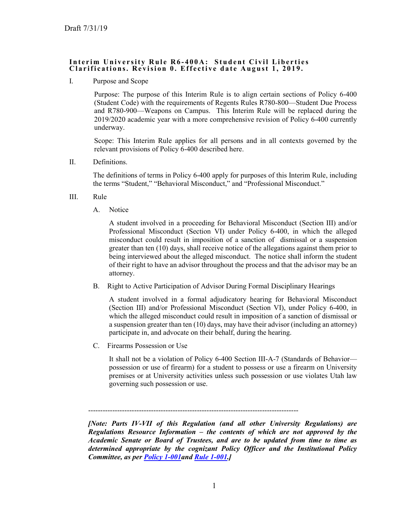#### **Interim University Rule R6 - 4 0 0 A: Student Civil Liberties Clarifications. Revision 0. Effective date August 1, 2019.**

I. Purpose and Scope

Purpose: The purpose of this Interim Rule is to align certain sections of Policy 6-400 (Student Code) with the requirements of Regents Rules R780-800—Student Due Process and R780-900—Weapons on Campus. This Interim Rule will be replaced during the 2019/2020 academic year with a more comprehensive revision of Policy 6-400 currently underway.

Scope: This Interim Rule applies for all persons and in all contexts governed by the relevant provisions of Policy 6-400 described here.

II. Definitions.

The definitions of terms in Policy 6-400 apply for purposes of this Interim Rule, including the terms "Student," "Behavioral Misconduct," and "Professional Misconduct."

- III. Rule
	- A. Notice

A student involved in a proceeding for Behavioral Misconduct (Section III) and/or Professional Misconduct (Section VI) under Policy 6-400, in which the alleged misconduct could result in imposition of a sanction of dismissal or a suspension greater than ten (10) days, shall receive notice of the allegations against them prior to being interviewed about the alleged misconduct. The notice shall inform the student of their right to have an advisor throughout the process and that the advisor may be an attorney.

B. Right to Active Participation of Advisor During Formal Disciplinary Hearings

A student involved in a formal adjudicatory hearing for Behavioral Misconduct (Section III) and/or Professional Misconduct (Section VI), under Policy 6-400, in which the alleged misconduct could result in imposition of a sanction of dismissal or a suspension greater than ten (10) days, may have their advisor (including an attorney) participate in, and advocate on their behalf, during the hearing.

C. Firearms Possession or Use

It shall not be a violation of Policy 6-400 Section III-A-7 (Standards of Behavior possession or use of firearm) for a student to possess or use a firearm on University premises or at University activities unless such possession or use violates Utah law governing such possession or use.

*[Note: Parts IV-VII of this Regulation (and all other University Regulations) are Regulations Resource Information – the contents of which are not approved by the Academic Senate or Board of Trustees, and are to be updated from time to time as determined appropriate by the cognizant Policy Officer and the Institutional Policy Committee, as per [Policy 1-001a](https://regulations.utah.edu/general/1-001.php)nd [Rule 1-001.](https://regulations.utah.edu/general/rules/R1-001.php)]*

<sup>---------------------------------------------------------------------------------------</sup>